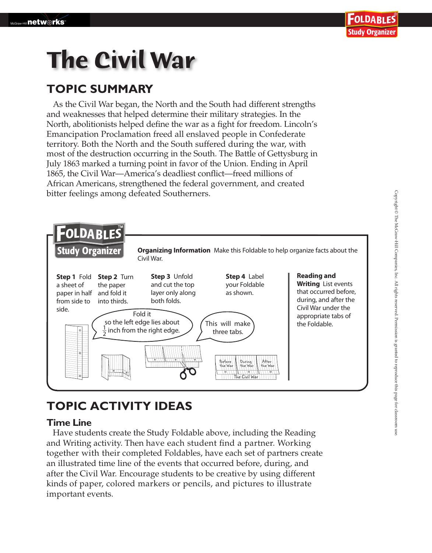# **The Civil War**

### **TOPIC SUMMARY**

As the Civil War began, the North and the South had different strengths and weaknesses that helped determine their military strategies. In the North, abolitionists helped define the war as a fight for freedom. Lincoln's Emancipation Proclamation freed all enslaved people in Confederate territory. Both the North and the South suffered during the war, with most of the destruction occurring in the South. The Battle of Gettysburg in July 1863 marked a turning point in favor of the Union. Ending in April 1865, the Civil War—America's deadliest conflict—freed millions of African Americans, strengthened the federal government, and created bitter feelings among defeated Southerners.



## **TOPIC ACTIVITY IDEAS**

#### **Time Line**

 Have students create the Study Foldable above, including the Reading and Writing activity. Then have each student find a partner. Working together with their completed Foldables, have each set of partners create an illustrated time line of the events that occurred before, during, and after the Civil War. Encourage students to be creative by using different kinds of paper, colored markers or pencils, and pictures to illustrate important events.